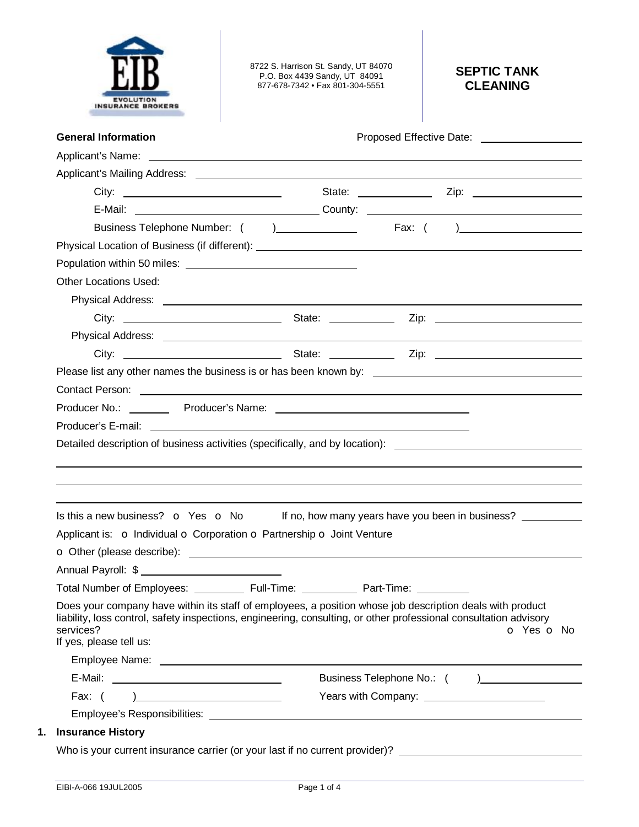

8722 S. Harrison St. Sandy, UT 84070 P.O. Box 4439 Sandy, UT 84091 877-678-7342 • Fax 801-304-5551

# **SEPTIC TANK CLEANING**

| <b>General Information</b>                                                                                                                                                                                                                                             | Proposed Effective Date: 2000 2012 2022 2023                                                        |
|------------------------------------------------------------------------------------------------------------------------------------------------------------------------------------------------------------------------------------------------------------------------|-----------------------------------------------------------------------------------------------------|
|                                                                                                                                                                                                                                                                        |                                                                                                     |
|                                                                                                                                                                                                                                                                        |                                                                                                     |
|                                                                                                                                                                                                                                                                        |                                                                                                     |
|                                                                                                                                                                                                                                                                        |                                                                                                     |
|                                                                                                                                                                                                                                                                        |                                                                                                     |
|                                                                                                                                                                                                                                                                        |                                                                                                     |
|                                                                                                                                                                                                                                                                        |                                                                                                     |
| <b>Other Locations Used:</b>                                                                                                                                                                                                                                           |                                                                                                     |
|                                                                                                                                                                                                                                                                        |                                                                                                     |
|                                                                                                                                                                                                                                                                        |                                                                                                     |
|                                                                                                                                                                                                                                                                        |                                                                                                     |
|                                                                                                                                                                                                                                                                        |                                                                                                     |
|                                                                                                                                                                                                                                                                        |                                                                                                     |
|                                                                                                                                                                                                                                                                        |                                                                                                     |
|                                                                                                                                                                                                                                                                        |                                                                                                     |
|                                                                                                                                                                                                                                                                        |                                                                                                     |
|                                                                                                                                                                                                                                                                        |                                                                                                     |
|                                                                                                                                                                                                                                                                        | Is this a new business? $\bullet$ Yes $\bullet$ No If no, how many years have you been in business? |
| Applicant is: o Individual o Corporation o Partnership o Joint Venture                                                                                                                                                                                                 |                                                                                                     |
|                                                                                                                                                                                                                                                                        |                                                                                                     |
|                                                                                                                                                                                                                                                                        |                                                                                                     |
| Total Number of Employees: Full-Time:                                                                                                                                                                                                                                  | Part-Time:                                                                                          |
| Does your company have within its staff of employees, a position whose job description deals with product<br>liability, loss control, safety inspections, engineering, consulting, or other professional consultation advisory<br>services?<br>If yes, please tell us: | O Yes O No                                                                                          |
|                                                                                                                                                                                                                                                                        |                                                                                                     |
|                                                                                                                                                                                                                                                                        |                                                                                                     |
| Fax: $( )$                                                                                                                                                                                                                                                             | Years with Company: <u>_______________________</u>                                                  |
|                                                                                                                                                                                                                                                                        |                                                                                                     |
| <b>Insurance History</b>                                                                                                                                                                                                                                               |                                                                                                     |
| Who is your current insurance carrier (or your last if no current provider)?                                                                                                                                                                                           |                                                                                                     |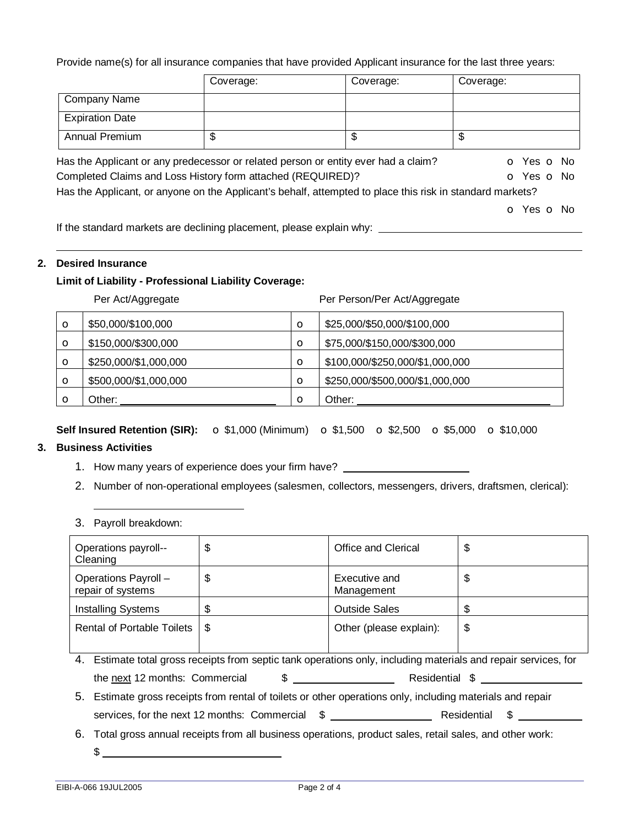Provide name(s) for all insurance companies that have provided Applicant insurance for the last three years:

|                                                                                                           | Coverage: | Coverage: | Coverage:                |
|-----------------------------------------------------------------------------------------------------------|-----------|-----------|--------------------------|
| Company Name                                                                                              |           |           |                          |
| <b>Expiration Date</b>                                                                                    |           |           |                          |
| Annual Premium                                                                                            | \$        | \$        | \$                       |
| Has the Applicant or any predecessor or related person or entity ever had a claim?                        |           |           | O Yes O No               |
| Completed Claims and Loss History form attached (REQUIRED)?                                               |           |           | O Yes O No               |
| Has the Applicant, or anyone on the Applicant's behalf, attempted to place this risk in standard markets? |           |           |                          |
|                                                                                                           |           |           | <b>o</b> Yes <b>o</b> No |

If the standard markets are declining placement, please explain why:

#### **2. Desired Insurance**

## **Limit of Liability - Professional Liability Coverage:**

Per Act/Aggregate **Per Person/Per Act/Aggregate** 

| $\circ$ | \$50,000/\$100,000    | $\circ$ | \$25,000/\$50,000/\$100,000     |
|---------|-----------------------|---------|---------------------------------|
| $\circ$ | \$150,000/\$300,000   | $\circ$ | \$75,000/\$150,000/\$300,000    |
| $\circ$ | \$250,000/\$1,000,000 | $\circ$ | \$100,000/\$250,000/\$1,000,000 |
| $\circ$ | \$500,000/\$1,000,000 | $\circ$ | \$250,000/\$500,000/\$1,000,000 |
| Ω       | Other:                | $\circ$ | Other:                          |

**Self Insured Retention (SIR):** o \$1,000 (Minimum) o \$1,500 o \$2,500 o \$5,000 o \$10,000

## **3. Business Activities**

- 1. How many years of experience does your firm have?
- 2. Number of non-operational employees (salesmen, collectors, messengers, drivers, draftsmen, clerical):
- 3. Payroll breakdown:

| Operations payroll--<br>Cleaning                                                                                | \$ | Office and Clerical         | \$ |
|-----------------------------------------------------------------------------------------------------------------|----|-----------------------------|----|
| Operations Payroll -<br>repair of systems                                                                       | \$ | Executive and<br>Management | \$ |
| <b>Installing Systems</b>                                                                                       | S  | <b>Outside Sales</b>        | \$ |
| <b>Rental of Portable Toilets</b>                                                                               | \$ | Other (please explain):     | \$ |
|                                                                                                                 |    |                             |    |
| 4. Estimate total gross receipts from septic tank operations only, including materials and repair services, for |    |                             |    |
| $\mathfrak{S}$<br>Residential \$<br>the next 12 months: Commercial                                              |    |                             |    |
| 5. Estimate gross receipts from rental of toilets or other operations only, including materials and repair      |    |                             |    |
| SS.                                                                                                             |    |                             |    |
| Total gross annual receipts from all business operations, product sales, retail sales, and other work:<br>6.    |    |                             |    |

 $$^{\circ}$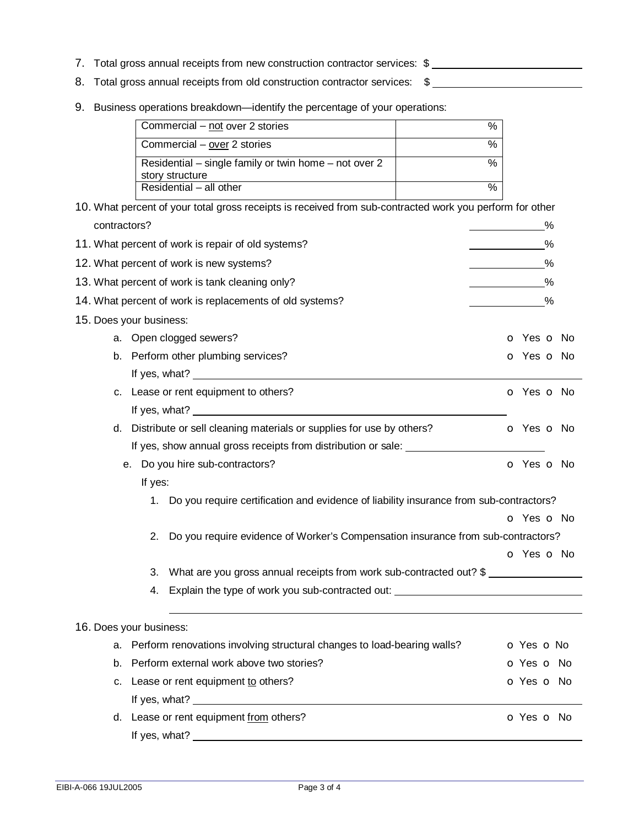- 7. Total gross annual receipts from new construction contractor services: \$
- 8. Total gross annual receipts from old construction contractor services: \$
- 9. Business operations breakdown—identify the percentage of your operations:

| Commercial – not over 2 stories                                          |                    |
|--------------------------------------------------------------------------|--------------------|
| Commercial – over 2 stories                                              | %                  |
| Residential – single family or twin home – not over 2<br>story structure |                    |
| Residential - all other                                                  | $\mathcal{O}_\ell$ |

|                                                    |                                                                                           | 10. What percent of your total gross receipts is received from sub-contracted work you perform for other |                          |
|----------------------------------------------------|-------------------------------------------------------------------------------------------|----------------------------------------------------------------------------------------------------------|--------------------------|
| contractors?                                       |                                                                                           |                                                                                                          | %                        |
| 11. What percent of work is repair of old systems? |                                                                                           |                                                                                                          | %                        |
|                                                    | 12. What percent of work is new systems?                                                  |                                                                                                          | $\%$                     |
| 13. What percent of work is tank cleaning only?    | %                                                                                         |                                                                                                          |                          |
|                                                    |                                                                                           | 14. What percent of work is replacements of old systems?                                                 | %                        |
|                                                    | 15. Does your business:                                                                   |                                                                                                          |                          |
|                                                    | a. Open clogged sewers?                                                                   | <b>o</b> Yes <b>o</b> No                                                                                 |                          |
|                                                    | b. Perform other plumbing services?                                                       | o Yes o No                                                                                               |                          |
|                                                    |                                                                                           |                                                                                                          |                          |
|                                                    | c. Lease or rent equipment to others?                                                     |                                                                                                          |                          |
|                                                    |                                                                                           |                                                                                                          |                          |
|                                                    |                                                                                           | d. Distribute or sell cleaning materials or supplies for use by others?                                  | <b>o</b> Yes <b>o</b> No |
|                                                    |                                                                                           | If yes, show annual gross receipts from distribution or sale: __________________                         |                          |
| e. Do you hire sub-contractors?                    |                                                                                           |                                                                                                          | o Yes o No               |
|                                                    | If yes:                                                                                   |                                                                                                          |                          |
|                                                    | 1. Do you require certification and evidence of liability insurance from sub-contractors? |                                                                                                          |                          |
|                                                    |                                                                                           |                                                                                                          | o Yes o No               |
|                                                    | 2.                                                                                        | Do you require evidence of Worker's Compensation insurance from sub-contractors?                         |                          |
|                                                    |                                                                                           |                                                                                                          | <b>o</b> Yes <b>o</b> No |
|                                                    | What are you gross annual receipts from work sub-contracted out? \$                       |                                                                                                          |                          |
|                                                    | 4.                                                                                        | Explain the type of work you sub-contracted out:                                                         |                          |
|                                                    |                                                                                           |                                                                                                          |                          |
|                                                    | 16. Does your business:                                                                   |                                                                                                          |                          |
|                                                    | a. Perform renovations involving structural changes to load-bearing walls?                |                                                                                                          | o Yes o No               |
| b.                                                 | Perform external work above two stories?                                                  |                                                                                                          | o Yes o No               |
|                                                    | c. Lease or rent equipment to others?                                                     |                                                                                                          | o Yes o No               |
|                                                    | If yes, what?                                                                             |                                                                                                          |                          |
|                                                    |                                                                                           | d. Lease or rent equipment from others?                                                                  | O Yes O No               |
|                                                    | If yes, what?                                                                             |                                                                                                          |                          |